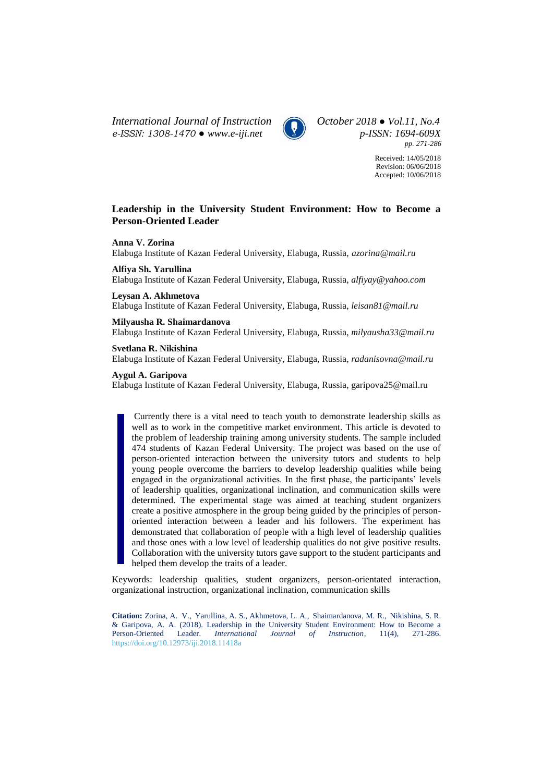*International Journal of Instruction October 2018 ● Vol.11, No.4 e-ISSN: 1308-1470 ● [www.e-iji.net](http://www.e-iji.net/) p-ISSN: 1694-609X*



*pp. 271-286*

Received: 14/05/2018 Revision: 06/06/2018 Accepted: 10/06/2018

# **Leadership in the University Student Environment: How to Become a Person-Oriented Leader**

**Anna V. Zorina**

Elabuga Institute of Kazan Federal University, Elabuga, Russia, *azorina@mail.ru*

**Alfiya Sh. Yarullina**

Elabuga Institute of Kazan Federal University, Elabuga, Russia, *[alfiyay@yahoo.com](mailto:alfiyay@yahoo.com)*

**Leysan A. Akhmetova**

Elabuga Institute of Kazan Federal University, Elabuga, Russia, *leisan81@mail.ru*

### **Milyausha R. Shaimardanova**

Elabuga Institute of Kazan Federal University, Elabuga, Russia, *milyausha33@mail.ru*

**Svetlana R. Nikishina**

Elabuga Institute of Kazan Federal University, Elabuga, Russia, *radanisovna@mail.ru*

### **Aygul A. Garipova**

Elabuga Institute of Kazan Federal University, Elabuga, Russia, garipova25@mail.ru

Currently there is a vital need to teach youth to demonstrate leadership skills as well as to work in the competitive market environment. This article is devoted to the problem of leadership training among university students. The sample included 474 students of Kazan Federal University. The project was based on the use of person-oriented interaction between the university tutors and students to help young people overcome the barriers to develop leadership qualities while being engaged in the organizational activities. In the first phase, the participants' levels of leadership qualities, organizational inclination, and communication skills were determined. The experimental stage was aimed at teaching student organizers create a positive atmosphere in the group being guided by the principles of personoriented interaction between a leader and his followers. The experiment has demonstrated that collaboration of people with a high level of leadership qualities and those ones with a low level of leadership qualities do not give positive results. Collaboration with the university tutors gave support to the student participants and helped them develop the traits of a leader.

Keywords: leadership qualities, student organizers, person-orientated interaction, organizational instruction, organizational inclination, communication skills

**Citation:** Zorina, A. V., Yarullina, A. S., Akhmetova, L. A., Shaimardanova, M. R., Nikishina, S. R. & Garipova, A. A. (2018). Leadership in the University Student Environment: How to Become a Person-Oriented Leader. *International Journal of Instruction*, 11(4), 271-286. <https://doi.org/10.12973/iji.2018.11418a>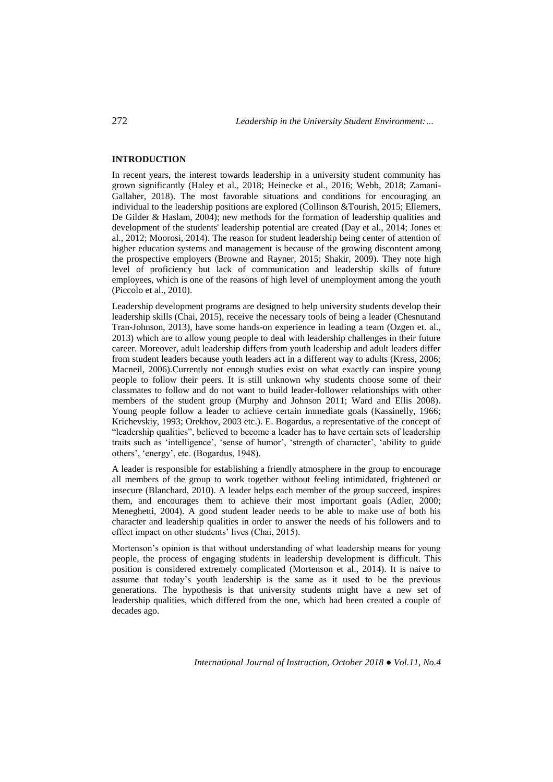## **INTRODUCTION**

In recent years, the interest towards leadership in a university student community has grown significantly (Haley et al., 2018; Heinecke et al., 2016; Webb, 2018; Zamani-Gallaher, 2018). The most favorable situations and conditions for encouraging an individual to the leadership positions are explored (Collinson &Tourish, 2015; Ellemers, De Gilder & Haslam, 2004); new methods for the formation of leadership qualities and development of the students' leadership potential are created (Day et al., 2014; Jones et al., 2012; Moorosi, 2014). The reason for student leadership being center of attention of higher education systems and management is because of the growing discontent among the prospective employers (Browne and Rayner, 2015; Shakir, 2009). They note high level of proficiency but lack of communication and leadership skills of future employees, which is one of the reasons of high level of unemployment among the youth (Piccolo et al., 2010).

Leadership development programs are designed to help university students develop their leadership skills (Chai, 2015), receive the necessary tools of being a leader (Chesnutand Tran-Johnson, 2013), have some hands-on experience in leading a team (Ozgen et. al., 2013) which are to allow young people to deal with leadership challenges in their future career. Moreover, adult leadership differs from youth leadership and adult leaders differ from student leaders because youth leaders act in a different way to adults (Kress, 2006; Macneil, 2006).Currently not enough studies exist on what exactly can inspire young people to follow their peers. It is still unknown why students choose some of their classmates to follow and do not want to build leader-follower relationships with other members of the student group (Murphy and Johnson 2011; Ward and Ellis 2008). Young people follow a leader to achieve certain immediate goals (Kassinelly, 1966; Krichevskiy, 1993; Orekhov, 2003 etc.). E. Bogardus, a representative of the concept of "leadership qualities", believed to become a leader has to have certain sets of leadership traits such as 'intelligence', 'sense of humor', 'strength of character', 'ability to guide others', 'energy', etc. (Bogardus, 1948).

A leader is responsible for establishing a friendly atmosphere in the group to encourage all members of the group to work together without feeling intimidated, frightened or insecure (Blanchard, 2010). A leader helps each member of the group succeed, inspires them, and encourages them to achieve their most important goals (Adler, 2000; Meneghetti, 2004). A good student leader needs to be able to make use of both his character and leadership qualities in order to answer the needs of his followers and to effect impact on other students' lives (Chai, 2015).

Mortenson's opinion is that without understanding of what leadership means for young people, the process of engaging students in leadership development is difficult. This position is considered extremely complicated (Mortenson et al., 2014). It is naive to assume that today's youth leadership is the same as it used to be the previous generations. The hypothesis is that university students might have a new set of leadership qualities, which differed from the one, which had been created a couple of decades ago.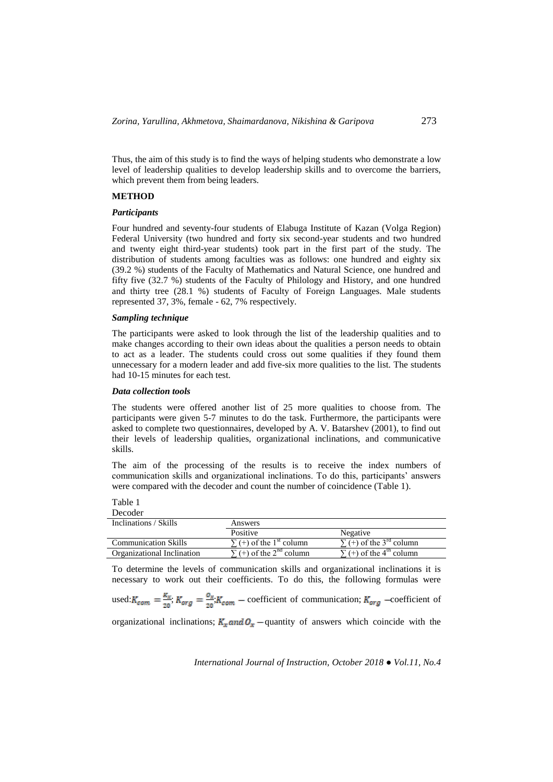Thus, the aim of this study is to find the ways of helping students who demonstrate a low level of leadership qualities to develop leadership skills and to overcome the barriers, which prevent them from being leaders.

### **METHOD**

### *Participants*

Four hundred and seventy-four students of Elabuga Institute of Kazan (Volga Region) Federal University (two hundred and forty six second-year students and two hundred and twenty eight third-year students) took part in the first part of the study. The distribution of students among faculties was as follows: one hundred and eighty six (39.2 %) students of the Faculty of Mathematics and Natural Science, one hundred and fifty five (32.7 %) students of the Faculty of Philology and History, and one hundred and thirty tree (28.1 %) students of Faculty of Foreign Languages. Male students represented 37, 3%, female - 62, 7% respectively.

### *Sampling technique*

The participants were asked to look through the list of the leadership qualities and to make changes according to their own ideas about the qualities a person needs to obtain to act as a leader. The students could cross out some qualities if they found them unnecessary for a modern leader and add five-six more qualities to the list. The students had 10-15 minutes for each test.

## *Data collection tools*

The students were offered another list of 25 more qualities to choose from. The participants were given 5-7 minutes to do the task. Furthermore, the participants were asked to complete two questionnaires, developed by A. V. Batarshev (2001), to find out their levels of leadership qualities, organizational inclinations, and communicative skills.

The aim of the processing of the results is to receive the index numbers of communication skills and organizational inclinations. To do this, participants' answers were compared with the decoder and count the number of coincidence (Table 1).

Table 1 Decoder

| Inclinations / Skills       | Answers                                  |                                            |  |
|-----------------------------|------------------------------------------|--------------------------------------------|--|
|                             | Positive                                 | Negative                                   |  |
| <b>Communication Skills</b> | $\sum$ (+) of the 1 <sup>st</sup> column | $\sum$ (+) of the 3 <sup>rd</sup> column   |  |
| Organizational Inclination  | $\sum$ (+) of the 2 <sup>nd</sup> column | $\Sigma$ (+) of the 4 <sup>th</sup> column |  |

To determine the levels of communication skills and organizational inclinations it is necessary to work out their coefficients. To do this, the following formulas were

used:  $K_{com} = \frac{K_x}{20}$ ;  $K_{org} = \frac{O_x}{20}$ ;  $K_{com}$  – coefficient of communication;  $K_{org}$  –coefficient of

organizational inclinations;  $K_x$  and  $O_x$  –quantity of answers which coincide with the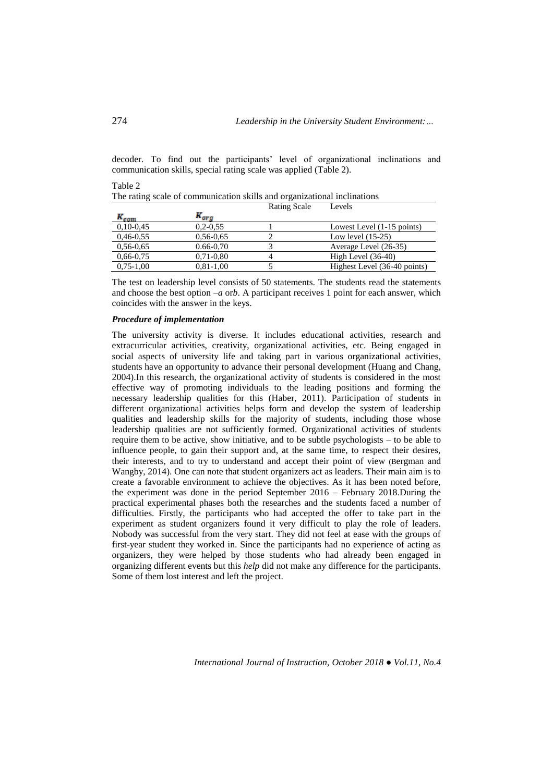decoder. To find out the participants' level of organizational inclinations and communication skills, special rating scale was applied (Table 2).

|             |               | <b>Rating Scale</b> | Levels                       |
|-------------|---------------|---------------------|------------------------------|
| $R_{com}$   | $K_{ora}$     |                     |                              |
| $0,10-0,45$ | $0,2-0,55$    |                     | Lowest Level (1-15 points)   |
| $0,46-0.55$ | $0,56-0,65$   |                     | Low level $(15-25)$          |
| $0,56-0.65$ | $0.66 - 0.70$ |                     | Average Level (26-35)        |
| $0,66-0,75$ | $0,71-0,80$   |                     | High Level $(36-40)$         |
| $0,75-1,00$ | $0,81-1,00$   |                     | Highest Level (36-40 points) |

The rating scale of communication skills and organizational inclinations

The test on leadership level consists of 50 statements. The students read the statements and choose the best option  $-a$  orb. A participant receives 1 point for each answer, which coincides with the answer in the keys.

### *Procedure of implementation*

The university activity is diverse. It includes educational activities, research and extracurricular activities, creativity, organizational activities, etc. Being engaged in social aspects of university life and taking part in various organizational activities, students have an opportunity to advance their personal development (Huang and Chang, 2004).In this research, the organizational activity of students is considered in the most effective way of promoting individuals to the leading positions and forming the necessary leadership qualities for this (Haber, 2011). Participation of students in different organizational activities helps form and develop the system of leadership qualities and leadership skills for the majority of students, including those whose leadership qualities are not sufficiently formed. Organizational activities of students require them to be active, show initiative, and to be subtle psychologists – to be able to influence people, to gain their support and, at the same time, to respect their desires, their interests, and to try to understand and accept their point of view (Bergman and Wangby, 2014). One can note that student organizers act as leaders. Their main aim is to create a favorable environment to achieve the objectives. As it has been noted before, the experiment was done in the period September 2016 – February 2018.During the practical experimental phases both the researches and the students faced a number of difficulties. Firstly, the participants who had accepted the offer to take part in the experiment as student organizers found it very difficult to play the role of leaders. Nobody was successful from the very start. They did not feel at ease with the groups of first-year student they worked in. Since the participants had no experience of acting as organizers, they were helped by those students who had already been engaged in organizing different events but this *help* did not make any difference for the participants. Some of them lost interest and left the project.

Table 2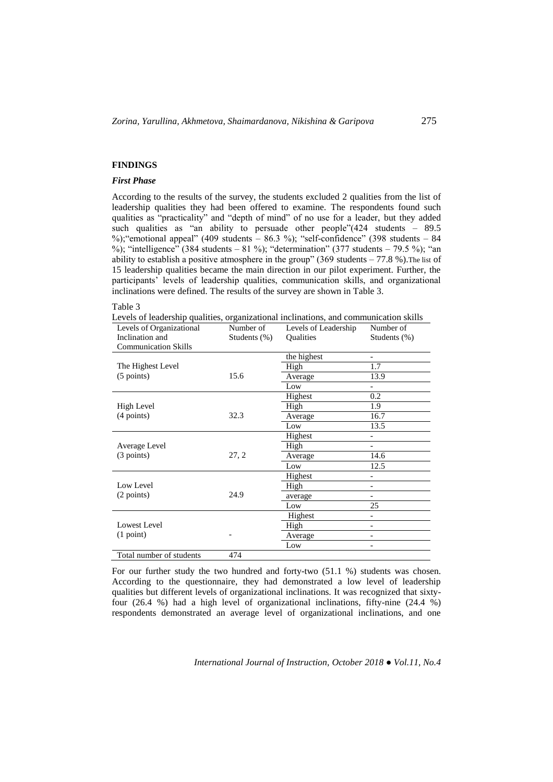## **FINDINGS**

## *First Phase*

According to the results of the survey, the students excluded 2 qualities from the list of leadership qualities they had been offered to examine. The respondents found such qualities as "practicality" and "depth of mind" of no use for a leader, but they added such qualities as "an ability to persuade other people"(424 students – 89.5 %);"emotional appeal" (409 students – 86.3 %); "self-confidence" (398 students – 84 %); "intelligence" (384 students – 81 %); "determination" (377 students – 79.5 %); "an ability to establish a positive atmosphere in the group" (369 students  $-77.8$  %). The list of 15 leadership qualities became the main direction in our pilot experiment. Further, the participants' levels of leadership qualities, communication skills, and organizational inclinations were defined. The results of the survey are shown in Table 3.

#### Table 3

Levels of leadership qualities, organizational inclinations, and communication skills

| Levels of Organizational    | Number of    | Levels of Leadership | Number of                |
|-----------------------------|--------------|----------------------|--------------------------|
| Inclination and             | Students (%) | Qualities            | Students (%)             |
| <b>Communication Skills</b> |              |                      |                          |
|                             |              | the highest          | $\overline{\phantom{a}}$ |
| The Highest Level           |              | High                 | 1.7                      |
| $(5 \text{ points})$        | 15.6         | Average              | 13.9                     |
|                             |              | Low                  |                          |
|                             |              | Highest              | 0.2                      |
| High Level                  |              | High                 | 1.9                      |
| $(4$ points)                | 32.3         | Average              | 16.7                     |
|                             |              | Low                  | 13.5                     |
|                             |              | Highest              |                          |
| Average Level               |              | High                 | -                        |
| $(3$ points)                | 27, 2        | Average              | 14.6                     |
|                             |              | Low                  | 12.5                     |
|                             |              | Highest              |                          |
| Low Level                   |              | High                 |                          |
| (2 points)                  | 24.9         | average              |                          |
|                             |              | Low                  | 25                       |
|                             |              | Highest              | $\overline{\phantom{0}}$ |
| Lowest Level                |              | High                 | $\overline{\phantom{0}}$ |
| (1 point)                   |              | Average              |                          |
|                             |              | Low                  |                          |
| Total number of students    | 474          |                      |                          |

For our further study the two hundred and forty-two (51.1 %) students was chosen. According to the questionnaire, they had demonstrated a low level of leadership qualities but different levels of organizational inclinations. It was recognized that sixtyfour (26.4 %) had a high level of organizational inclinations, fifty-nine (24.4 %) respondents demonstrated an average level of organizational inclinations, and one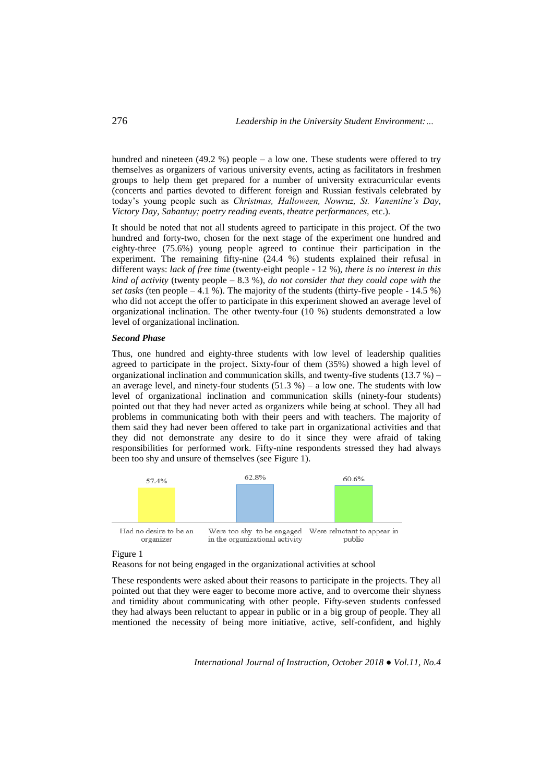hundred and nineteen  $(49.2 \%)$  people – a low one. These students were offered to try themselves as organizers of various university events, acting as facilitators in freshmen groups to help them get prepared for a number of university extracurricular events (concerts and parties devoted to different foreign and Russian festivals celebrated by today's young people such as *Christmas, Halloween, Nowruz, St. Vanentine's Day, Victory Day, Sabantuy; poetry reading events, theatre performances,* etc.).

It should be noted that not all students agreed to participate in this project. Of the two hundred and forty-two, chosen for the next stage of the experiment one hundred and eighty-three (75.6%) young people agreed to continue their participation in the experiment. The remaining fifty-nine (24.4 %) students explained their refusal in different ways: *lack of free time* (twenty-eight people - 12 %), *there is no interest in this kind of activity* (twenty people – 8.3 %), *do not consider that they could cope with the set tasks* (ten people  $-4.1$  %). The majority of the students (thirty-five people - 14.5 %) who did not accept the offer to participate in this experiment showed an average level of organizational inclination. The other twenty-four (10 %) students demonstrated a low level of organizational inclination.

### *Second Phase*

Thus, one hundred and eighty-three students with low level of leadership qualities agreed to participate in the project. Sixty-four of them (35%) showed a high level of organizational inclination and communication skills, and twenty-five students  $(13.7\%)$  – an average level, and ninety-four students  $(51.3 %) - a$  low one. The students with low level of organizational inclination and communication skills (ninety-four students) pointed out that they had never acted as organizers while being at school. They all had problems in communicating both with their peers and with teachers. The majority of them said they had never been offered to take part in organizational activities and that they did not demonstrate any desire to do it since they were afraid of taking responsibilities for performed work. Fifty-nine respondents stressed they had always been too shy and unsure of themselves (see Figure 1).



Figure 1

Reasons for not being engaged in the organizational activities at school

These respondents were asked about their reasons to participate in the projects. They all pointed out that they were eager to become more active, and to overcome their shyness and timidity about communicating with other people. Fifty-seven students confessed they had always been reluctant to appear in public or in a big group of people. They all mentioned the necessity of being more initiative, active, self-confident, and highly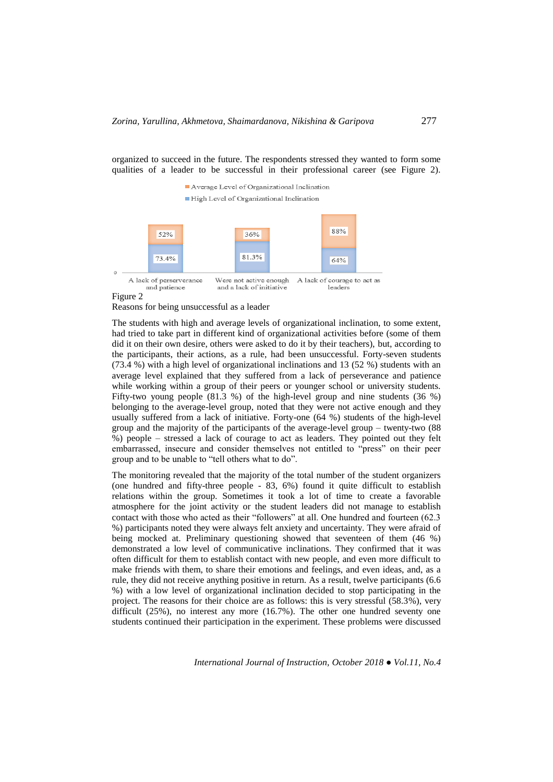organized to succeed in the future. The respondents stressed they wanted to form some qualities of a leader to be successful in their professional career (see Figure 2).



Figure 2

Reasons for being unsuccessful as a leader

The students with high and average levels of organizational inclination, to some extent, had tried to take part in different kind of organizational activities before (some of them did it on their own desire, others were asked to do it by their teachers), but, according to the participants, their actions, as a rule, had been unsuccessful. Forty-seven students (73.4 %) with a high level of organizational inclinations and 13 (52 %) students with an average level explained that they suffered from a lack of perseverance and patience while working within a group of their peers or younger school or university students. Fifty-two young people (81.3 %) of the high-level group and nine students (36 %) belonging to the average-level group, noted that they were not active enough and they usually suffered from a lack of initiative. Forty-one (64 %) students of the high-level group and the majority of the participants of the average-level group – twenty-two (88 %) people – stressed a lack of courage to act as leaders. They pointed out they felt embarrassed, insecure and consider themselves not entitled to "press" on their peer group and to be unable to "tell others what to do".

The monitoring revealed that the majority of the total number of the student organizers (one hundred and fifty-three people - 83, 6%) found it quite difficult to establish relations within the group. Sometimes it took a lot of time to create a favorable atmosphere for the joint activity or the student leaders did not manage to establish contact with those who acted as their "followers" at all. One hundred and fourteen (62.3 %) participants noted they were always felt anxiety and uncertainty. They were afraid of being mocked at. Preliminary questioning showed that seventeen of them (46 %) demonstrated a low level of communicative inclinations. They confirmed that it was often difficult for them to establish contact with new people, and even more difficult to make friends with them, to share their emotions and feelings, and even ideas, and, as a rule, they did not receive anything positive in return. As a result, twelve participants (6.6 %) with a low level of organizational inclination decided to stop participating in the project. The reasons for their choice are as follows: this is very stressful (58.3%), very difficult (25%), no interest any more (16.7%). The other one hundred seventy one students continued their participation in the experiment. These problems were discussed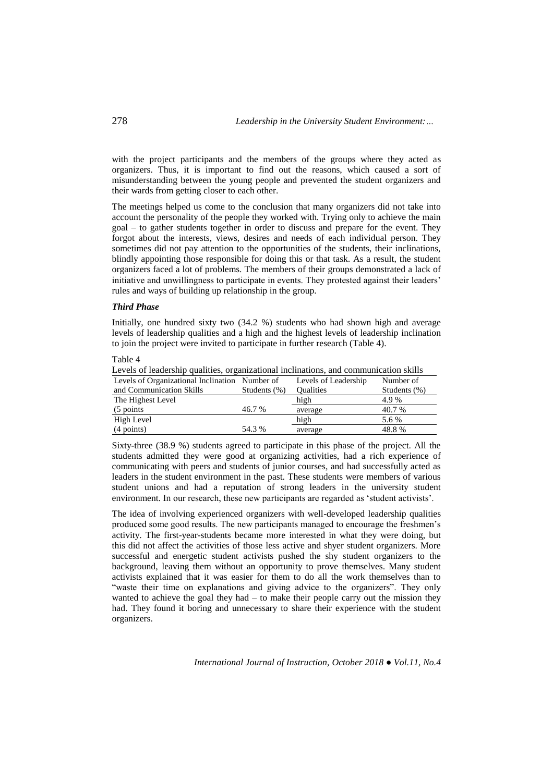with the project participants and the members of the groups where they acted as organizers. Thus, it is important to find out the reasons, which caused a sort of misunderstanding between the young people and prevented the student organizers and their wards from getting closer to each other.

The meetings helped us come to the conclusion that many organizers did not take into account the personality of the people they worked with. Trying only to achieve the main goal – to gather students together in order to discuss and prepare for the event. They forgot about the interests, views, desires and needs of each individual person. They sometimes did not pay attention to the opportunities of the students, their inclinations, blindly appointing those responsible for doing this or that task. As a result, the student organizers faced a lot of problems. The members of their groups demonstrated a lack of initiative and unwillingness to participate in events. They protested against their leaders' rules and ways of building up relationship in the group.

### *Third Phase*

Initially, one hundred sixty two (34.2 %) students who had shown high and average levels of leadership qualities and a high and the highest levels of leadership inclination to join the project were invited to participate in further research (Table 4).

Table 4

Levels of leadership qualities, organizational inclinations, and communication skills Levels of Organizational Inclination Number of and Communication Skills Students (%) Levels of Leadership **Qualities** Number of Students (%) The Highest Level (5 points 46.7 % high 4.9 % average 40.7 % High Level (4 points) 54.3 % high 5.6 % average 48.8 %

Sixty-three (38.9 %) students agreed to participate in this phase of the project. All the students admitted they were good at organizing activities, had a rich experience of communicating with peers and students of junior courses, and had successfully acted as leaders in the student environment in the past. These students were members of various student unions and had a reputation of strong leaders in the university student environment. In our research, these new participants are regarded as 'student activists'.

The idea of involving experienced organizers with well-developed leadership qualities produced some good results. The new participants managed to encourage the freshmen's activity. The first-year-students became more interested in what they were doing, but this did not affect the activities of those less active and shyer student organizers. More successful and energetic student activists pushed the shy student organizers to the background, leaving them without an opportunity to prove themselves. Many student activists explained that it was easier for them to do all the work themselves than to "waste their time on explanations and giving advice to the organizers". They only wanted to achieve the goal they had – to make their people carry out the mission they had. They found it boring and unnecessary to share their experience with the student organizers.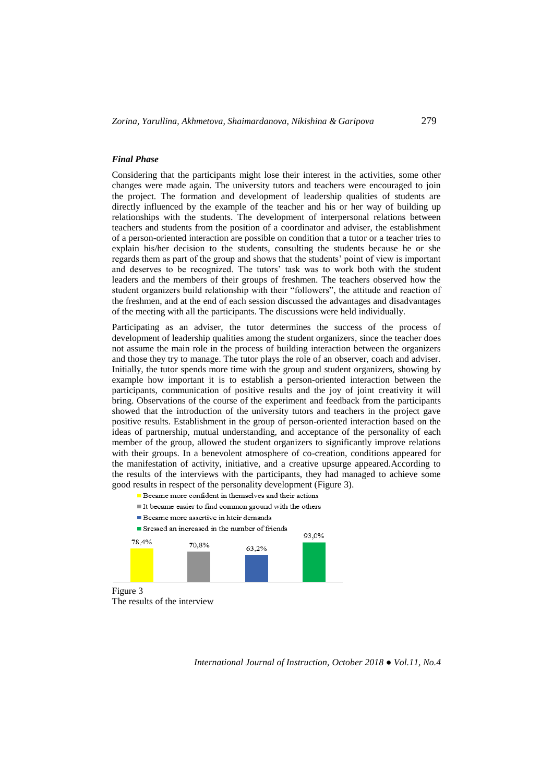## *Final Phase*

Considering that the participants might lose their interest in the activities, some other changes were made again. The university tutors and teachers were encouraged to join the project. The formation and development of leadership qualities of students are directly influenced by the example of the teacher and his or her way of building up relationships with the students. The development of interpersonal relations between teachers and students from the position of a coordinator and adviser, the establishment of a person-oriented interaction are possible on condition that a tutor or a teacher tries to explain his/her decision to the students, consulting the students because he or she regards them as part of the group and shows that the students' point of view is important and deserves to be recognized. The tutors' task was to work both with the student leaders and the members of their groups of freshmen. The teachers observed how the student organizers build relationship with their "followers", the attitude and reaction of the freshmen, and at the end of each session discussed the advantages and disadvantages of the meeting with all the participants. The discussions were held individually.

Participating as an adviser, the tutor determines the success of the process of development of leadership qualities among the student organizers, since the teacher does not assume the main role in the process of building interaction between the organizers and those they try to manage. The tutor plays the role of an observer, coach and adviser. Initially, the tutor spends more time with the group and student organizers, showing by example how important it is to establish a person-oriented interaction between the participants, communication of positive results and the joy of joint creativity it will bring. Observations of the course of the experiment and feedback from the participants showed that the introduction of the university tutors and teachers in the project gave positive results. Establishment in the group of person-oriented interaction based on the ideas of partnership, mutual understanding, and acceptance of the personality of each member of the group, allowed the student organizers to significantly improve relations with their groups. In a benevolent atmosphere of co-creation, conditions appeared for the manifestation of activity, initiative, and a creative upsurge appeared.According to the results of the interviews with the participants, they had managed to achieve some good results in respect of the personality development (Figure 3).

- Became more confident in themselves and their actions It became easier to find common ground with the others
- Became more assertive in hteir demands  $\blacksquare$  Sressed an increased in the number of friends





*International Journal of Instruction, October 2018 ● Vol.11, No.4*

93.0%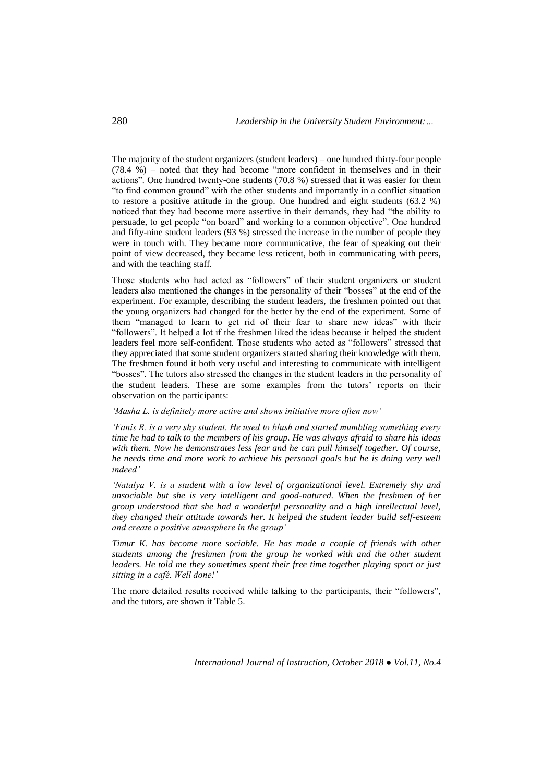The majority of the student organizers (student leaders) – one hundred thirty-four people (78.4 %) – noted that they had become "more confident in themselves and in their actions". One hundred twenty-one students (70.8 %) stressed that it was easier for them "to find common ground" with the other students and importantly in a conflict situation to restore a positive attitude in the group. One hundred and eight students (63.2 %) noticed that they had become more assertive in their demands, they had "the ability to persuade, to get people "on board" and working to a common objective". One hundred and fifty-nine student leaders (93 %) stressed the increase in the number of people they were in touch with. They became more communicative, the fear of speaking out their point of view decreased, they became less reticent, both in communicating with peers, and with the teaching staff.

Those students who had acted as "followers" of their student organizers or student leaders also mentioned the changes in the personality of their "bosses" at the end of the experiment. For example, describing the student leaders, the freshmen pointed out that the young organizers had changed for the better by the end of the experiment. Some of them "managed to learn to get rid of their fear to share new ideas" with their "followers". It helped a lot if the freshmen liked the ideas because it helped the student leaders feel more self-confident. Those students who acted as "followers" stressed that they appreciated that some student organizers started sharing their knowledge with them. The freshmen found it both very useful and interesting to communicate with intelligent "bosses". The tutors also stressed the changes in the student leaders in the personality of the student leaders. These are some examples from the tutors' reports on their observation on the participants:

*'Masha L. is definitely more active and shows initiative more often now'*

*'Fanis R. is a very shy student. He used to blush and started mumbling something every time he had to talk to the members of his group. He was always afraid to share his ideas with them. Now he demonstrates less fear and he can pull himself together. Of course, he needs time and more work to achieve his personal goals but he is doing very well indeed'*

*'Natalya V. is a student with a low level of organizational level. Extremely shy and unsociable but she is very intelligent and good-natured. When the freshmen of her group understood that she had a wonderful personality and a high intellectual level, they changed their attitude towards her. It helped the student leader build self-esteem and create a positive atmosphere in the group'*

*Timur K. has become more sociable. He has made a couple of friends with other students among the freshmen from the group he worked with and the other student leaders. He told me they sometimes spent their free time together playing sport or just sitting in a café. Well done!'*

The more detailed results received while talking to the participants, their "followers", and the tutors, are shown it Table 5.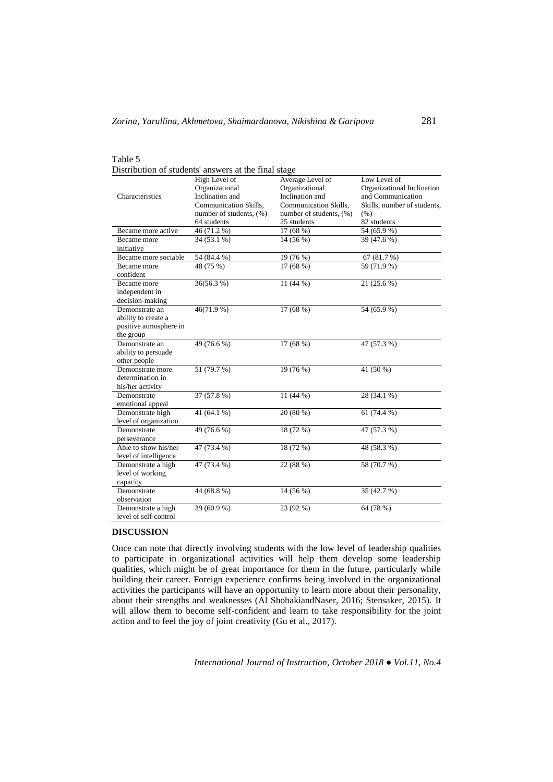| Table 5                                                                      |                                                                                                        |                                                                                                           |                                                                                                        |  |  |  |
|------------------------------------------------------------------------------|--------------------------------------------------------------------------------------------------------|-----------------------------------------------------------------------------------------------------------|--------------------------------------------------------------------------------------------------------|--|--|--|
| Distribution of students' answers at the final stage                         |                                                                                                        |                                                                                                           |                                                                                                        |  |  |  |
| Characteristics                                                              | High Level of<br>Organizational<br>Inclination and<br>Communication Skills,<br>number of students, (%) | Average Level of<br>Organizational<br>Inclination and<br>Communication Skills,<br>number of students, (%) | Low Level of<br>Organizational Inclination<br>and Communication<br>Skills, number of students,<br>(% ) |  |  |  |
|                                                                              | 64 students                                                                                            | 25 students                                                                                               | 82 students                                                                                            |  |  |  |
| Became more active                                                           | 46(71.2%)                                                                                              | 17(68%)                                                                                                   | 54(65.9%)                                                                                              |  |  |  |
| Became more<br>initiative                                                    | $34(53.1\%)$                                                                                           | 14 (56 %)                                                                                                 | 39 (47.6 %)                                                                                            |  |  |  |
| Became more sociable                                                         | 54 (84.4 %)                                                                                            | 19 (76 %)                                                                                                 | 67 (81.7 %)                                                                                            |  |  |  |
| Became more<br>confident                                                     | 48 (75 %)                                                                                              | 17 (68 %)                                                                                                 | 59 (71.9 %)                                                                                            |  |  |  |
| Became more<br>independent in<br>decision-making                             | 36(56.3%)                                                                                              | 11 (44 %)                                                                                                 | 21 (25.6 %)                                                                                            |  |  |  |
| Demonstrate an<br>ability to create a<br>positive atmosphere in<br>the group | 46(71.9%)                                                                                              | 17 (68 %)                                                                                                 | 54 (65.9 %)                                                                                            |  |  |  |
| Demonstrate an<br>ability to persuade<br>other people                        | 49 (76.6 %)                                                                                            | 17 (68 %)                                                                                                 | 47 (57.3 %)                                                                                            |  |  |  |
| Demonstrate more<br>determination in<br>his/her activity                     | 51 (79.7 %)                                                                                            | 19 (76 %)                                                                                                 | 41 (50 %)                                                                                              |  |  |  |
| Demonstrate<br>emotional appeal                                              | 37 (57.8 %)                                                                                            | 11 (44 %)                                                                                                 | 28 (34.1 %)                                                                                            |  |  |  |
| Demonstrate high<br>level of organization                                    | 41 (64.1 %)                                                                                            | 20 (80 %)                                                                                                 | 61 $(74.4\%)$                                                                                          |  |  |  |
| Demonstrate<br>perseverance                                                  | 49 (76.6 %)                                                                                            | 18 (72 %)                                                                                                 | 47 (57.3 %)                                                                                            |  |  |  |
| Able to show his/her<br>level of intelligence                                | 47 (73.4 %)                                                                                            | 18 (72 %)                                                                                                 | 48 (58.3 %)                                                                                            |  |  |  |
| Demonstrate a high<br>level of working<br>capacity                           | 47 (73.4 %)                                                                                            | 22 (88 %)                                                                                                 | 58 (70.7 %)                                                                                            |  |  |  |
| Demonstrate<br>observation                                                   | 44 (68.8%)                                                                                             | 14 (56 %)                                                                                                 | 35 (42.7 %)                                                                                            |  |  |  |
| Demonstrate a high<br>level of self-control                                  | 39 (60.9 %)                                                                                            | 23 (92 %)                                                                                                 | 64 (78 %)                                                                                              |  |  |  |

## **DISCUSSION**

Once can note that directly involving students with the low level of leadership qualities to participate in organizational activities will help them develop some leadership qualities, which might be of great importance for them in the future, particularly while building their career. Foreign experience confirms being involved in the organizational activities the participants will have an opportunity to learn more about their personality, about their strengths and weaknesses (Al ShobakiandNaser, 2016; Stensaker, 2015). It will allow them to become self-confident and learn to take responsibility for the joint action and to feel the joy of joint creativity (Gu et al., 2017).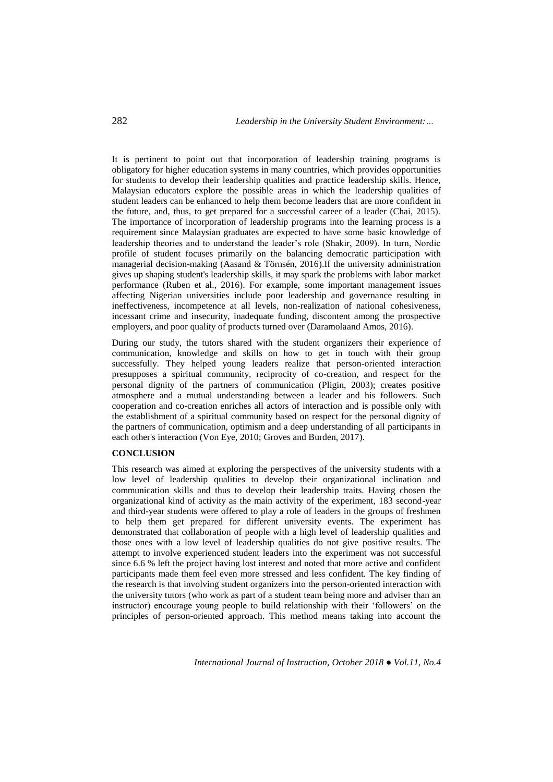It is pertinent to point out that incorporation of leadership training programs is obligatory for higher education systems in many countries, which provides opportunities for students to develop their leadership qualities and practice leadership skills. Hence, Malaysian educators explore the possible areas in which the leadership qualities of student leaders can be enhanced to help them become leaders that are more confident in the future, and, thus, to get prepared for a successful career of a leader (Chai, 2015). The importance of incorporation of leadership programs into the learning process is a requirement since Malaysian graduates are expected to have some basic knowledge of leadership theories and to understand the leader's role (Shakir, 2009). In turn, Nordic profile of student focuses primarily on the balancing democratic participation with managerial decision-making (Aasand & Törnsén, 2016).If the university administration gives up shaping student's leadership skills, it may spark the problems with labor market performance (Ruben et al., 2016). For example, some important management issues affecting Nigerian universities include poor leadership and governance resulting in ineffectiveness, incompetence at all levels, non-realization of national cohesiveness, incessant crime and insecurity, inadequate funding, discontent among the prospective employers, and poor quality of products turned over (Daramolaand Amos, 2016).

During our study, the tutors shared with the student organizers their experience of communication, knowledge and skills on how to get in touch with their group successfully. They helped young leaders realize that person-oriented interaction presupposes a spiritual community, reciprocity of co-creation, and respect for the personal dignity of the partners of communication (Pligin, 2003); creates positive atmosphere and a mutual understanding between a leader and his followers. Such cooperation and co-creation enriches all actors of interaction and is possible only with the establishment of a spiritual community based on respect for the personal dignity of the partners of communication, optimism and a deep understanding of all participants in each other's interaction (Von Eye, 2010; Groves and Burden, 2017).

## **CONCLUSION**

This research was aimed at exploring the perspectives of the university students with a low level of leadership qualities to develop their organizational inclination and communication skills and thus to develop their leadership traits. Having chosen the organizational kind of activity as the main activity of the experiment, 183 second-year and third-year students were offered to play a role of leaders in the groups of freshmen to help them get prepared for different university events. The experiment has demonstrated that collaboration of people with a high level of leadership qualities and those ones with a low level of leadership qualities do not give positive results. The attempt to involve experienced student leaders into the experiment was not successful since 6.6 % left the project having lost interest and noted that more active and confident participants made them feel even more stressed and less confident. The key finding of the research is that involving student organizers into the person-oriented interaction with the university tutors (who work as part of a student team being more and adviser than an instructor) encourage young people to build relationship with their 'followers' on the principles of person-oriented approach. This method means taking into account the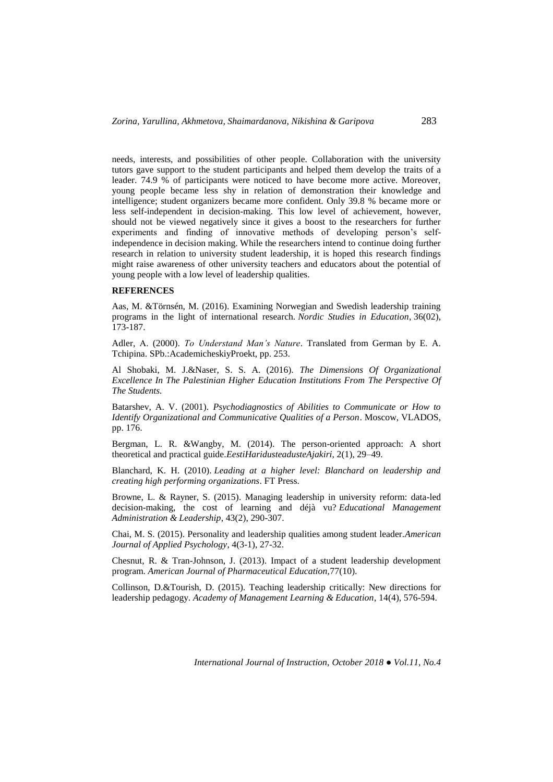needs, interests, and possibilities of other people. Collaboration with the university tutors gave support to the student participants and helped them develop the traits of a leader. 74.9 % of participants were noticed to have become more active. Moreover, young people became less shy in relation of demonstration their knowledge and intelligence; student organizers became more confident. Only 39.8 % became more or less self-independent in decision-making. This low level of achievement, however, should not be viewed negatively since it gives a boost to the researchers for further experiments and finding of innovative methods of developing person's selfindependence in decision making. While the researchers intend to continue doing further research in relation to university student leadership, it is hoped this research findings might raise awareness of other university teachers and educators about the potential of young people with a low level of leadership qualities.

#### **REFERENCES**

Aas, M. &Törnsén, M. (2016). Examining Norwegian and Swedish leadership training programs in the light of international research. *Nordic Studies in Education*, 36(02), 173-187.

Adler, А. (2000). *To Understand Man's Nature*. Translated from German by E. A. Tchipina. SPb.:AcademicheskiyProekt, pp. 253.

Al Shobaki, M. J.&Naser, S. S. A. (2016). *The Dimensions Of Organizational Excellence In The Palestinian Higher Education Institutions From The Perspective Of The Students.*

Batarshev, A. V. (2001). *Psychodiagnostics of Abilities to Communicate or How to Identify Organizational and Communicative Qualities of a Person*. Moscow, VLADOS, pp. 176.

Bergman, L. R. &Wangby, M. (2014). The person-oriented approach: A short theoretical and practical guide.*EestiHaridusteadusteAjakiri*, 2(1), 29–49.

Blanchard, K. H. (2010). *Leading at a higher level: Blanchard on leadership and creating high performing organizations*. FT Press.

Browne, L. & Rayner, S. (2015). Managing leadership in university reform: data-led decision-making, the cost of learning and déjà vu? *Educational Management Administration & Leadership*, 43(2), 290-307.

Chai, M. S. (2015). Personality and leadership qualities among student leader.*American Journal of Applied Psychology*, 4(3-1), 27-32.

Chesnut, R. & Tran-Johnson, J. (2013). Impact of a student leadership development program. *American Journal of Pharmaceutical Education,*77(10).

Collinson, D.&Tourish, D. (2015). Teaching leadership critically: New directions for leadership pedagogy. *Academy of Management Learning & Education*, 14(4), 576-594.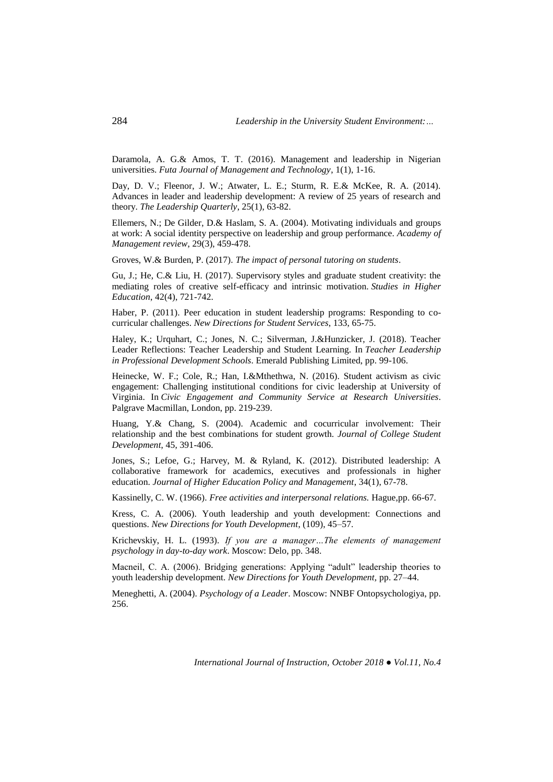Daramola, A. G.& Amos, T. T. (2016). Management and leadership in Nigerian universities. *Futa Journal of Management and Technology*, 1(1), 1-16.

Day, D. V.; Fleenor, J. W.; Atwater, L. E.; Sturm, R. E.& McKee, R. A. (2014). Advances in leader and leadership development: A review of 25 years of research and theory. *The Leadership Quarterly*, 25(1), 63-82.

Ellemers, N.; De Gilder, D.& Haslam, S. A. (2004). Motivating individuals and groups at work: A social identity perspective on leadership and group performance. *Academy of Management review*, 29(3), 459-478.

Groves, W.& Burden, P. (2017). *The impact of personal tutoring on students*.

Gu, J.; He, C.& Liu, H. (2017). Supervisory styles and graduate student creativity: the mediating roles of creative self-efficacy and intrinsic motivation. *Studies in Higher Education*, 42(4), 721-742.

Haber, P. (2011). Peer education in student leadership programs: Responding to cocurricular challenges. *New Directions for Student Services*, 133, 65-75.

Haley, K.; Urquhart, C.; Jones, N. C.; Silverman, J.&Hunzicker, J. (2018). Teacher Leader Reflections: Teacher Leadership and Student Learning. In *Teacher Leadership in Professional Development Schools*. Emerald Publishing Limited, pp. 99-106.

Heinecke, W. F.; Cole, R.; Han, I.&Mthethwa, N. (2016). Student activism as civic engagement: Challenging institutional conditions for civic leadership at University of Virginia. In *Civic Engagement and Community Service at Research Universities*. Palgrave Macmillan, London, pp. 219-239.

Huang, Y.& Chang, S. (2004). Academic and cocurricular involvement: Their relationship and the best combinations for student growth. *Journal of College Student Development*, 45, 391-406.

Jones, S.; Lefoe, G.; Harvey, M. & Ryland, K. (2012). Distributed leadership: A collaborative framework for academics, executives and professionals in higher education. *Journal of Higher Education Policy and Management*, 34(1), 67-78.

Kassinelly, C. W. (1966). *Free activities and interpersonal relations.* Hague,pp. 66-67.

Kress, C. A. (2006). Youth leadership and youth development: Connections and questions. *New Directions for Youth Development*, (109), 45–57.

Krichevskiy, H. L. (1993). *If you are a manager…The elements of management psychology in day-to-day work*. Moscow: Delo, pp. 348.

Macneil, C. A. (2006). Bridging generations: Applying "adult" leadership theories to youth leadership development. *New Directions for Youth Development,* pp. 27–44.

Meneghetti, A. (2004). *Psychology of a Leader*. Moscow: NNBF Ontopsychologiya, pp. 256.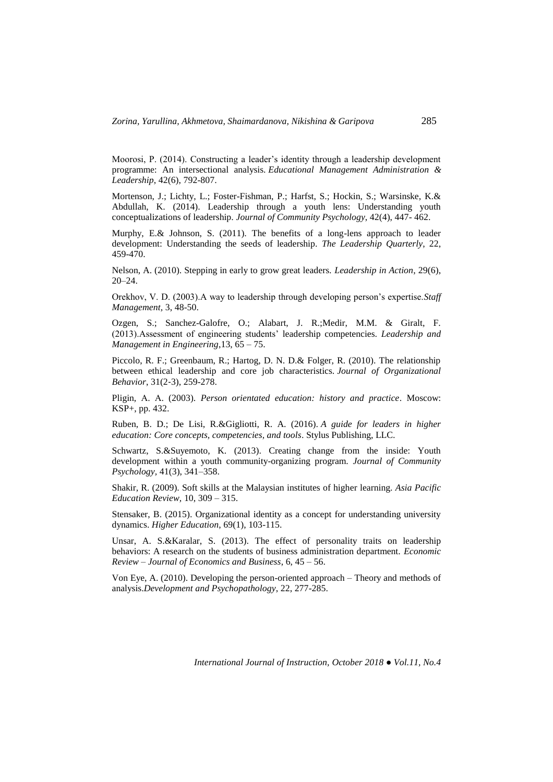Moorosi, P. (2014). Constructing a leader's identity through a leadership development programme: An intersectional analysis. *Educational Management Administration & Leadership*, 42(6), 792-807.

Mortenson, J.; Lichty, L.; Foster-Fishman, P.; Harfst, S.; Hockin, S.; Warsinske, K.& Abdullah, K. (2014). Leadership through a youth lens: Understanding youth conceptualizations of leadership. *Journal of Community Psychology*, 42(4), 447- 462.

Murphy, E.& Johnson, S. (2011). The benefits of a long-lens approach to leader development: Understanding the seeds of leadership. *The Leadership Quarterly*, 22, 459-470.

Nelson, A. (2010). Stepping in early to grow great leaders. *Leadership in Action*, 29(6), 20–24.

Orekhov, V. D. (2003).A way to leadership through developing person's expertise.*Staff Management,* 3, 48-50.

Ozgen, S.; Sanchez-Galofre, O.; Alabart, J. R.;Medir, M.M. & Giralt, F. (2013).Assessment of engineering students' leadership competencies. *Leadership and Management in Engineering*,13, 65 – 75.

Piccolo, R. F.; Greenbaum, R.; Hartog, D. N. D.& Folger, R. (2010). The relationship between ethical leadership and core job characteristics. *Journal of Organizational Behavior*, 31(2‐3), 259-278.

Pligin, А. А. (2003). *Person orientated education: history and practice*. Moscow: KSP+, pp. 432.

Ruben, B. D.; De Lisi, R.&Gigliotti, R. A. (2016). *A guide for leaders in higher education: Core concepts, competencies, and tools*. Stylus Publishing, LLC.

Schwartz, S.&Suyemoto, K. (2013). Creating change from the inside: Youth development within a youth community-organizing program. *Journal of Community Psychology,* 41(3), 341–358.

Shakir, R. (2009). Soft skills at the Malaysian institutes of higher learning. *Asia Pacific Education Review,* 10, 309 – 315.

Stensaker, B. (2015). Organizational identity as a concept for understanding university dynamics. *Higher Education*, 69(1), 103-115.

Unsar, A. S.&Karalar, S. (2013). The effect of personality traits on leadership behaviors: A research on the students of business administration department. *Economic Review – Journal of Economics and Business*, 6, 45 – 56.

Von Eye, A. (2010). Developing the person-oriented approach – Theory and methods of analysis.*Development and Psychopathology*, 22, 277-285.